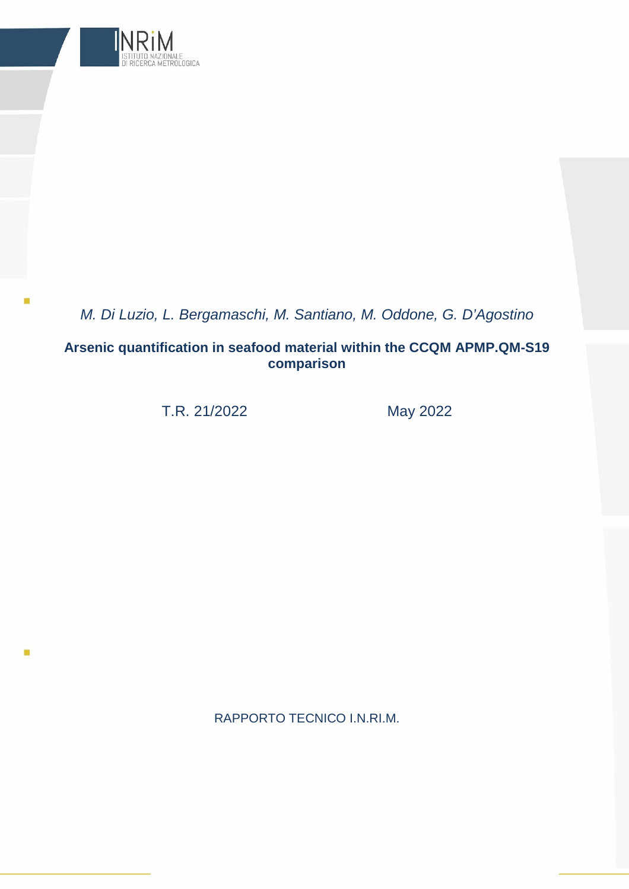

# *M. Di Luzio, L. Bergamaschi, M. Santiano, M. Oddone, G. D'Agostino*

## **Arsenic quantification in seafood material within the CCQM APMP.QM-S19 comparison**

T.R. 21/2022 May 2022

m

RAPPORTO TECNICO I.N.RI.M.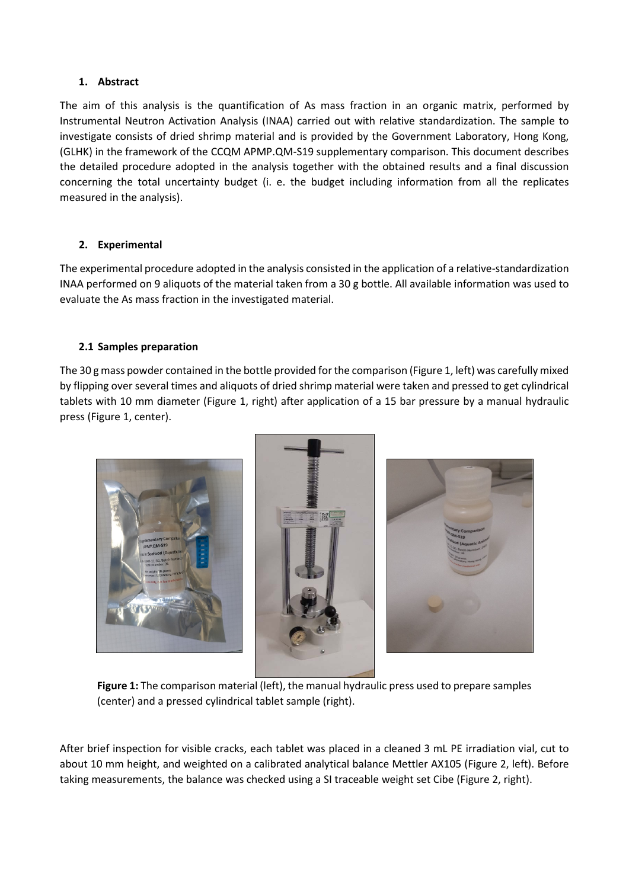## **1. Abstract**

The aim of this analysis is the quantification of As mass fraction in an organic matrix, performed by Instrumental Neutron Activation Analysis (INAA) carried out with relative standardization. The sample to investigate consists of dried shrimp material and is provided by the Government Laboratory, Hong Kong, (GLHK) in the framework of the CCQM APMP.QM-S19 supplementary comparison. This document describes the detailed procedure adopted in the analysis together with the obtained results and a final discussion concerning the total uncertainty budget (i. e. the budget including information from all the replicates measured in the analysis).

## **2. Experimental**

The experimental procedure adopted in the analysis consisted in the application of a relative-standardization INAA performed on 9 aliquots of the material taken from a 30 g bottle. All available information was used to evaluate the As mass fraction in the investigated material.

## **2.1 Samples preparation**

The 30 g mass powder contained in the bottle provided for the comparison (Figure 1, left) was carefully mixed by flipping over several times and aliquots of dried shrimp material were taken and pressed to get cylindrical tablets with 10 mm diameter (Figure 1, right) after application of a 15 bar pressure by a manual hydraulic press (Figure 1, center).



Figure 1: The comparison material (left), the manual hydraulic press used to prepare samples (center) and a pressed cylindrical tablet sample (right).

After brief inspection for visible cracks, each tablet was placed in a cleaned 3 mL PE irradiation vial, cut to about 10 mm height, and weighted on a calibrated analytical balance Mettler AX105 (Figure 2, left). Before taking measurements, the balance was checked using a SI traceable weight set Cibe (Figure 2, right).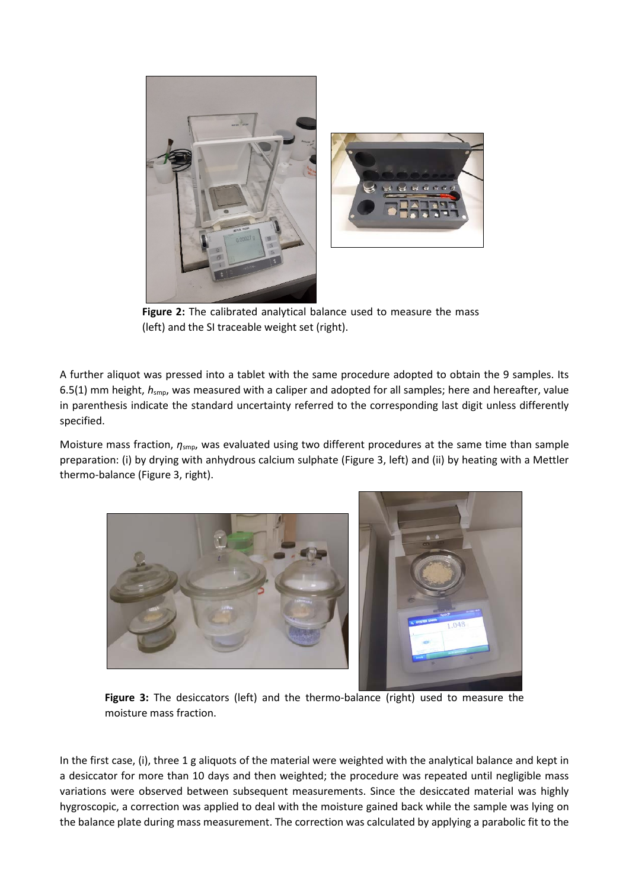

**Figure 2:** The calibrated analytical balance used to measure the mass (left) and the SI traceable weight set (right).

A further aliquot was pressed into a tablet with the same procedure adopted to obtain the 9 samples. Its 6.5(1) mm height, *h*smp, was measured with a caliper and adopted for all samples; here and hereafter, value in parenthesis indicate the standard uncertainty referred to the corresponding last digit unless differently specified.

Moisture mass fraction, *η*smp, was evaluated using two different procedures at the same time than sample preparation: (i) by drying with anhydrous calcium sulphate (Figure 3, left) and (ii) by heating with a Mettler thermo-balance (Figure 3, right).



**Figure 3:** The desiccators (left) and the thermo-balance (right) used to measure the moisture mass fraction.

In the first case, (i), three 1 g aliquots of the material were weighted with the analytical balance and kept in a desiccator for more than 10 days and then weighted; the procedure was repeated until negligible mass variations were observed between subsequent measurements. Since the desiccated material was highly hygroscopic, a correction was applied to deal with the moisture gained back while the sample was lying on the balance plate during mass measurement. The correction was calculated by applying a parabolic fit to the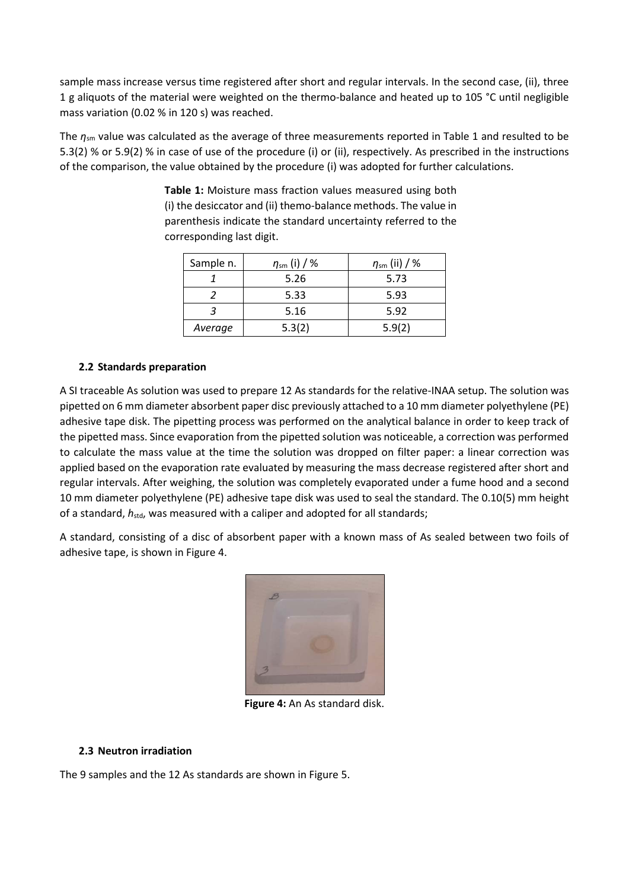sample mass increase versus time registered after short and regular intervals. In the second case, (ii), three 1 g aliquots of the material were weighted on the thermo-balance and heated up to 105 °C until negligible mass variation (0.02 % in 120 s) was reached.

The *η*sm value was calculated as the average of three measurements reported in Table 1 and resulted to be 5.3(2) % or 5.9(2) % in case of use of the procedure (i) or (ii), respectively. As prescribed in the instructions of the comparison, the value obtained by the procedure (i) was adopted for further calculations.

> **Table 1:** Moisture mass fraction values measured using both (i) the desiccator and (ii) themo-balance methods. The value in parenthesis indicate the standard uncertainty referred to the corresponding last digit.

| Sample n. | $\eta_{\rm sm}$ (i) / % | $\eta_{\text{sm}}$ (ii) / % |
|-----------|-------------------------|-----------------------------|
|           | 5.26                    | 5.73                        |
|           | 5.33                    | 5.93                        |
|           | 5.16                    | 5.92                        |
| Average   | 5.3(2)                  | 5.9(2)                      |

## **2.2 Standards preparation**

A SI traceable As solution was used to prepare 12 As standards for the relative-INAA setup. The solution was pipetted on 6 mm diameter absorbent paper disc previously attached to a 10 mm diameter polyethylene (PE) adhesive tape disk. The pipetting process was performed on the analytical balance in order to keep track of the pipetted mass. Since evaporation from the pipetted solution was noticeable, a correction was performed to calculate the mass value at the time the solution was dropped on filter paper: a linear correction was applied based on the evaporation rate evaluated by measuring the mass decrease registered after short and regular intervals. After weighing, the solution was completely evaporated under a fume hood and a second 10 mm diameter polyethylene (PE) adhesive tape disk was used to seal the standard. The 0.10(5) mm height of a standard,  $h_{std}$ , was measured with a caliper and adopted for all standards;

A standard, consisting of a disc of absorbent paper with a known mass of As sealed between two foils of adhesive tape, is shown in Figure 4.



**Figure 4:** An As standard disk.

#### **2.3 Neutron irradiation**

The 9 samples and the 12 As standards are shown in Figure 5.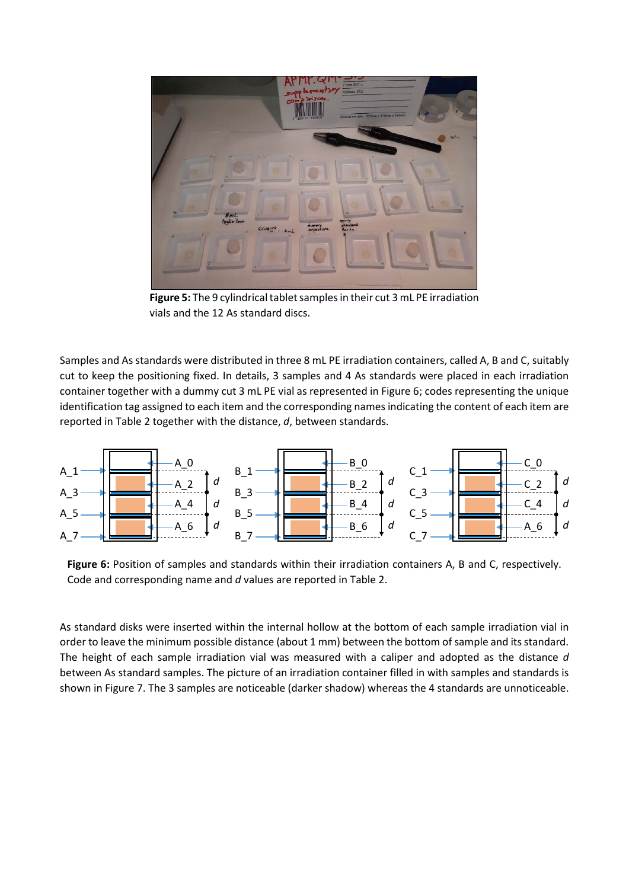

**Figure 5:** The 9 cylindrical tablet samples in their cut 3 mL PE irradiation vials and the 12 As standard discs.

Samples and As standards were distributed in three 8 mL PE irradiation containers, called A, B and C, suitably cut to keep the positioning fixed. In details, 3 samples and 4 As standards were placed in each irradiation container together with a dummy cut 3 mL PE vial as represented in Figure 6; codes representing the unique identification tag assigned to each item and the corresponding names indicating the content of each item are reported in Table 2 together with the distance, *d*, between standards.



**Figure 6:** Position of samples and standards within their irradiation containers A, B and C, respectively. Code and corresponding name and *d* values are reported in Table 2.

As standard disks were inserted within the internal hollow at the bottom of each sample irradiation vial in order to leave the minimum possible distance (about 1 mm) between the bottom of sample and itsstandard. The height of each sample irradiation vial was measured with a caliper and adopted as the distance *d* between As standard samples. The picture of an irradiation container filled in with samples and standards is shown in Figure 7. The 3 samples are noticeable (darker shadow) whereas the 4 standards are unnoticeable.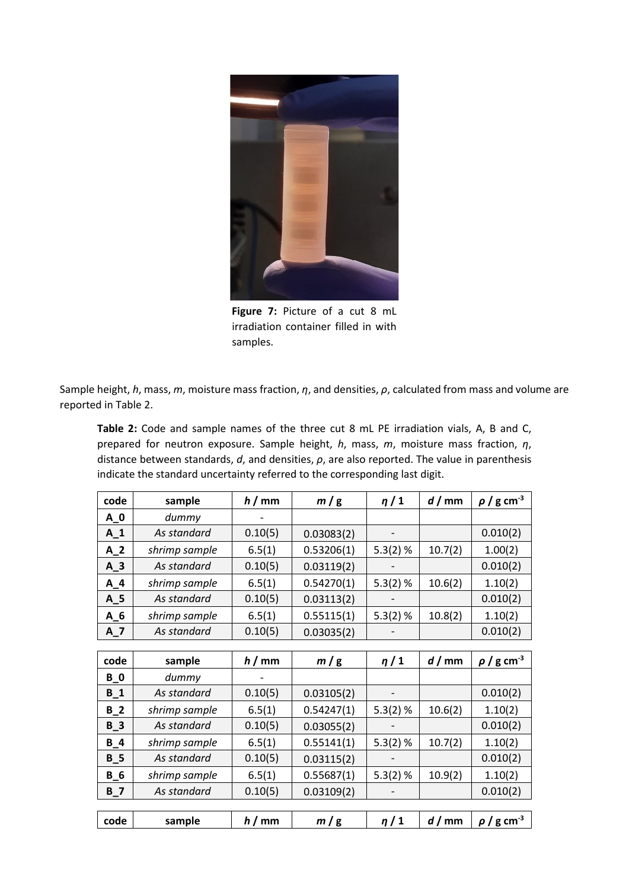

**Figure 7:** Picture of a cut 8 mL irradiation container filled in with samples.

Sample height, *h*, mass, *m*, moisture mass fraction, *η*, and densities, *ρ*, calculated from mass and volume are reported in Table 2.

**Table 2:** Code and sample names of the three cut 8 mL PE irradiation vials, A, B and C, prepared for neutron exposure. Sample height, *h*, mass, *m*, moisture mass fraction, *η*, distance between standards, *d*, and densities, *ρ*, are also reported. The value in parenthesis indicate the standard uncertainty referred to the corresponding last digit.

| code  | sample        | h/mm    | m/g        | $\eta/1$   | d/mm    | $\rho$ / g cm <sup>-3</sup> |
|-------|---------------|---------|------------|------------|---------|-----------------------------|
| $A_0$ | dummy         |         |            |            |         |                             |
| $A_1$ | As standard   | 0.10(5) | 0.03083(2) |            |         | 0.010(2)                    |
| $A_2$ | shrimp sample | 6.5(1)  | 0.53206(1) | $5.3(2)$ % | 10.7(2) | 1.00(2)                     |
| $A_3$ | As standard   | 0.10(5) | 0.03119(2) |            |         | 0.010(2)                    |
| $A_4$ | shrimp sample | 6.5(1)  | 0.54270(1) | $5.3(2)$ % | 10.6(2) | 1.10(2)                     |
| $A_5$ | As standard   | 0.10(5) | 0.03113(2) |            |         | 0.010(2)                    |
| $A_6$ | shrimp sample | 6.5(1)  | 0.55115(1) | $5.3(2)$ % | 10.8(2) | 1.10(2)                     |
| $A_7$ | As standard   | 0.10(5) | 0.03035(2) |            |         | 0.010(2)                    |
|       |               |         |            |            |         |                             |
| code  | sample        | h/mm    | m/g        | $\eta/1$   | d/mm    | $\rho$ / g cm <sup>-3</sup> |
| $B_0$ | dummy         |         |            |            |         |                             |
| $B_1$ | As standard   | 0.10(5) | 0.03105(2) |            |         | 0.010(2)                    |
| $B_2$ | shrimp sample | 6.5(1)  | 0.54247(1) | $5.3(2)$ % | 10.6(2) | 1.10(2)                     |
| $B_3$ | As standard   | 0.10(5) | 0.03055(2) |            |         | 0.010(2)                    |
| $B_4$ | shrimp sample | 6.5(1)  | 0.55141(1) | $5.3(2)$ % | 10.7(2) | 1.10(2)                     |
| $B_5$ | As standard   | 0.10(5) | 0.03115(2) |            |         | 0.010(2)                    |
| $B_6$ | shrimp sample | 6.5(1)  | 0.55687(1) | $5.3(2)$ % | 10.9(2) | 1.10(2)                     |
| $B_7$ | As standard   | 0.10(5) | 0.03109(2) |            |         | 0.010(2)                    |
|       |               |         |            |            |         |                             |
| code  | sample        | h/mm    | m/g        | $\eta/1$   | d/mm    | $\rho$ / g cm <sup>-3</sup> |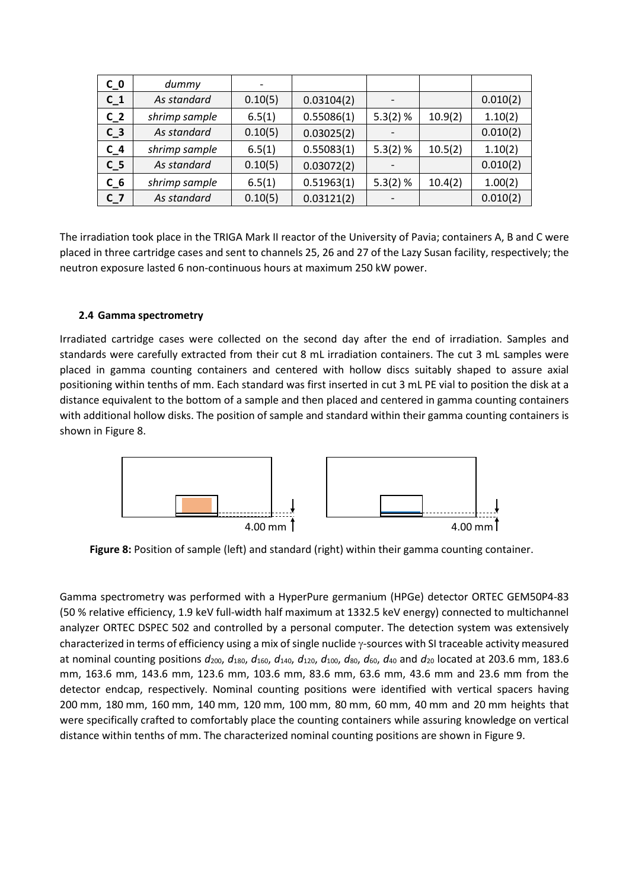| $C_0$ | dummy         |         |            |            |         |          |
|-------|---------------|---------|------------|------------|---------|----------|
| $C_1$ | As standard   | 0.10(5) | 0.03104(2) |            |         | 0.010(2) |
| $C_2$ | shrimp sample | 6.5(1)  | 0.55086(1) | $5.3(2)$ % | 10.9(2) | 1.10(2)  |
| $C_3$ | As standard   | 0.10(5) | 0.03025(2) |            |         | 0.010(2) |
| $C_4$ | shrimp sample | 6.5(1)  | 0.55083(1) | $5.3(2)$ % | 10.5(2) | 1.10(2)  |
| $C_5$ | As standard   | 0.10(5) | 0.03072(2) |            |         | 0.010(2) |
| $C_6$ | shrimp sample | 6.5(1)  | 0.51963(1) | $5.3(2)$ % | 10.4(2) | 1.00(2)  |
| $C_7$ | As standard   | 0.10(5) | 0.03121(2) |            |         | 0.010(2) |

The irradiation took place in the TRIGA Mark II reactor of the University of Pavia; containers A, B and C were placed in three cartridge cases and sent to channels 25, 26 and 27 of the Lazy Susan facility, respectively; the neutron exposure lasted 6 non-continuous hours at maximum 250 kW power.

## **2.4 Gamma spectrometry**

Irradiated cartridge cases were collected on the second day after the end of irradiation. Samples and standards were carefully extracted from their cut 8 mL irradiation containers. The cut 3 mL samples were placed in gamma counting containers and centered with hollow discs suitably shaped to assure axial positioning within tenths of mm. Each standard was first inserted in cut 3 mL PE vial to position the disk at a distance equivalent to the bottom of a sample and then placed and centered in gamma counting containers with additional hollow disks. The position of sample and standard within their gamma counting containers is shown in Figure 8.



**Figure 8:** Position of sample (left) and standard (right) within their gamma counting container.

Gamma spectrometry was performed with a HyperPure germanium (HPGe) detector ORTEC GEM50P4-83 (50 % relative efficiency, 1.9 keV full-width half maximum at 1332.5 keV energy) connected to multichannel analyzer ORTEC DSPEC 502 and controlled by a personal computer. The detection system was extensively characterized in terms of efficiency using a mix of single nuclide  $\gamma$ -sources with SI traceable activity measured at nominal counting positions  $d_{200}$ ,  $d_{180}$ ,  $d_{160}$ ,  $d_{140}$ ,  $d_{120}$ ,  $d_{100}$ ,  $d_{80}$ ,  $d_{60}$ ,  $d_{40}$  and  $d_{20}$  located at 203.6 mm, 183.6 mm, 163.6 mm, 143.6 mm, 123.6 mm, 103.6 mm, 83.6 mm, 63.6 mm, 43.6 mm and 23.6 mm from the detector endcap, respectively. Nominal counting positions were identified with vertical spacers having 200 mm, 180 mm, 160 mm, 140 mm, 120 mm, 100 mm, 80 mm, 60 mm, 40 mm and 20 mm heights that were specifically crafted to comfortably place the counting containers while assuring knowledge on vertical distance within tenths of mm. The characterized nominal counting positions are shown in Figure 9.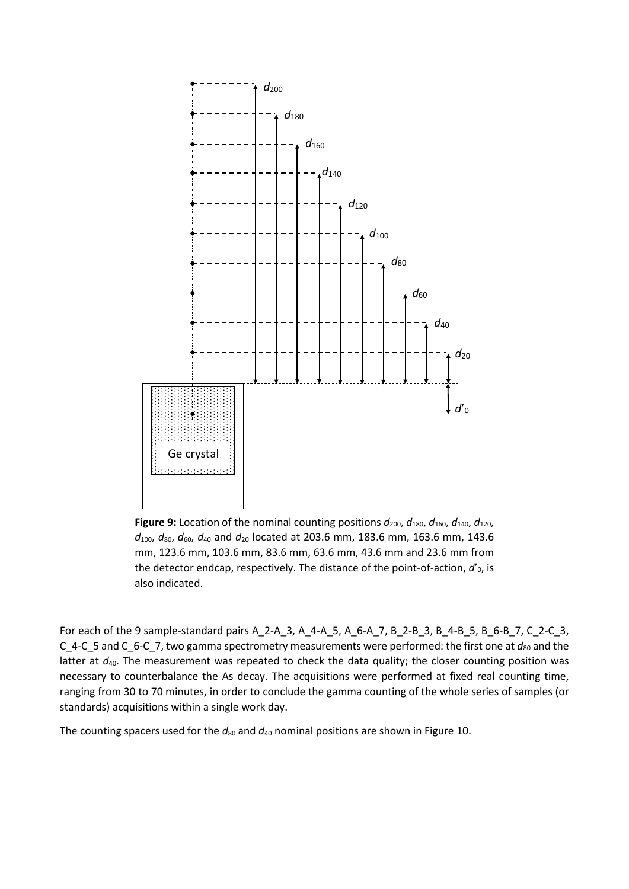

**Figure 9:** Location of the nominal counting positions  $d_{200}$ ,  $d_{180}$ ,  $d_{160}$ ,  $d_{140}$ ,  $d_{120}$ , *d*100, *d*80, *d*60, *d*<sup>40</sup> and *d*<sup>20</sup> located at 203.6 mm, 183.6 mm, 163.6 mm, 143.6 mm, 123.6 mm, 103.6 mm, 83.6 mm, 63.6 mm, 43.6 mm and 23.6 mm from the detector endcap, respectively. The distance of the point-of-action, *d'*<sub>0</sub>, is also indicated.

For each of the 9 sample-standard pairs A\_2-A\_3, A\_4-A\_5, A\_6-A\_7, B\_2-B\_3, B\_4-B\_5, B\_6-B\_7, C\_2-C\_3, C\_4-C\_5 and C\_6-C\_7, two gamma spectrometry measurements were performed: the first one at  $d_{80}$  and the latter at  $d_{40}$ . The measurement was repeated to check the data quality; the closer counting position was necessary to counterbalance the As decay. The acquisitions were performed at fixed real counting time, ranging from 30 to 70 minutes, in order to conclude the gamma counting of the whole series of samples (or standards) acquisitions within a single work day.

The counting spacers used for the  $d_{80}$  and  $d_{40}$  nominal positions are shown in Figure 10.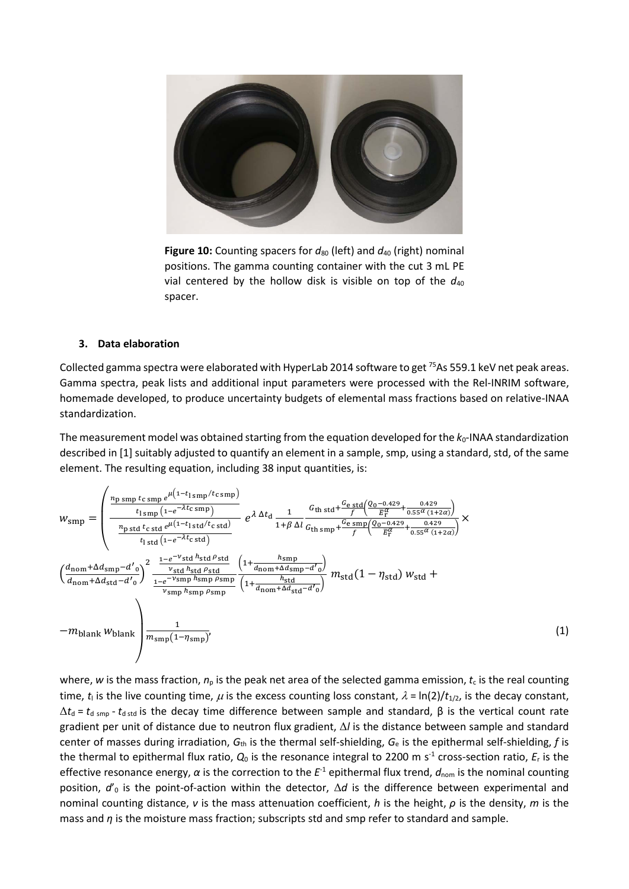

**Figure 10:** Counting spacers for  $d_{80}$  (left) and  $d_{40}$  (right) nominal positions. The gamma counting container with the cut 3 mL PE vial centered by the hollow disk is visible on top of the  $d_{40}$ spacer.

#### **3. Data elaboration**

Collected gamma spectra were elaborated with HyperLab 2014 software to get  $^{75}$ As 559.1 keV net peak areas. Gamma spectra, peak lists and additional input parameters were processed with the Rel-INRIM software, homemade developed, to produce uncertainty budgets of elemental mass fractions based on relative-INAA standardization.

The measurement model was obtained starting from the equation developed for the  $k_0$ -INAA standardization described in [1] suitably adjusted to quantify an element in a sample, smp, using a standard, std, of the same element. The resulting equation, including 38 input quantities, is:

$$
w_{\rm smp} = \left(\frac{\frac{n_{\rm p \, smp} \, c_{\rm s \, smp} \, e^{\mu(1-t_{\rm l \, smp}/t_{\rm c \, smp})}}{t_{\rm l \, smp} \left(1 - e^{-\lambda t_{\rm c \, smp}}\right)}}{\frac{n_{\rm p \, std} \, t_{\rm c \, std} \, e^{\mu(1-t_{\rm l \, std}/t_{\rm c \, std})}}{t_{\rm l \, std} \left(1 - e^{-\lambda t_{\rm c \, std}}\right)}} e^{\lambda \, \Delta t_{\rm d}} \frac{1}{1 + \beta \, \Delta l} \frac{G_{\rm th \, std} + \frac{G_{\rm e \, std}}{f} \left(\frac{Q_{0} - 0.429}{E_{\rm f}^{\alpha}} + \frac{0.429}{0.55}a^{\alpha} (1 + 2a)\right)}}{t_{\rm l \, std} \left(1 - e^{-\lambda t_{\rm c \, std}}\right)} \times \left(\frac{a_{\rm nom} + \Delta d_{\rm smp} - d'_{\rm o}}{a_{\rm nom} + \Delta d_{\rm s+d} - d'_{\rm o}}\right)^{2} \frac{1 - e^{-v_{\rm std} \, h_{\rm std} \, \rho_{\rm std}}}{\frac{v_{\rm std} \, h_{\rm std} \, \rho_{\rm std}}{v_{\rm smp} \, h_{\rm smp} \, \rho_{\rm smp}} \left(1 + \frac{h_{\rm smp}}{a_{\rm nom} + \Delta d_{\rm std} - d'_{\rm o}}\right)}{a_{\rm nom} + \Delta d_{\rm std} - d'_{\rm o}} \right) m_{\rm std} \left(1 - \eta_{\rm std}\right) w_{\rm std} + \frac{1}{v_{\rm smp} \, h_{\rm smp} \, \rho_{\rm smp}} \frac{1}{m_{\rm smp} \left(1 - \eta_{\rm smp}\right)} \left(1 + \frac{h_{\rm smp}}{a_{\rm nom} + \Delta d_{\rm std} - d'_{\rm o}}\right)} \tag{1}
$$

where, *w* is the mass fraction,  $n<sub>p</sub>$  is the peak net area of the selected gamma emission,  $t<sub>c</sub>$  is the real counting time,  $t_1$  is the live counting time,  $\mu$  is the excess counting loss constant,  $\lambda = \ln(2)/t_{1/2}$ , is the decay constant,  $\Delta t_d$  =  $t_{d \text{ smp}}$  -  $t_{d \text{ std}}$  is the decay time difference between sample and standard, β is the vertical count rate gradient per unit of distance due to neutron flux gradient, Δ*l* is the distance between sample and standard center of masses during irradiation, *G*th is the thermal self-shielding, *G*<sup>e</sup> is the epithermal self-shielding, *f* is the thermal to epithermal flux ratio,  $Q_0$  is the resonance integral to 2200 m s<sup>-1</sup> cross-section ratio,  $E_r$  is the effective resonance energy, *α* is the correction to the *E*-1 epithermal flux trend, *d*nom is the nominal counting position, *d*'0 is the point-of-action within the detector, Δ*d* is the difference between experimental and nominal counting distance, *ν* is the mass attenuation coefficient, *h* is the height, *ρ* is the density, *m* is the mass and *η* is the moisture mass fraction; subscripts std and smp refer to standard and sample.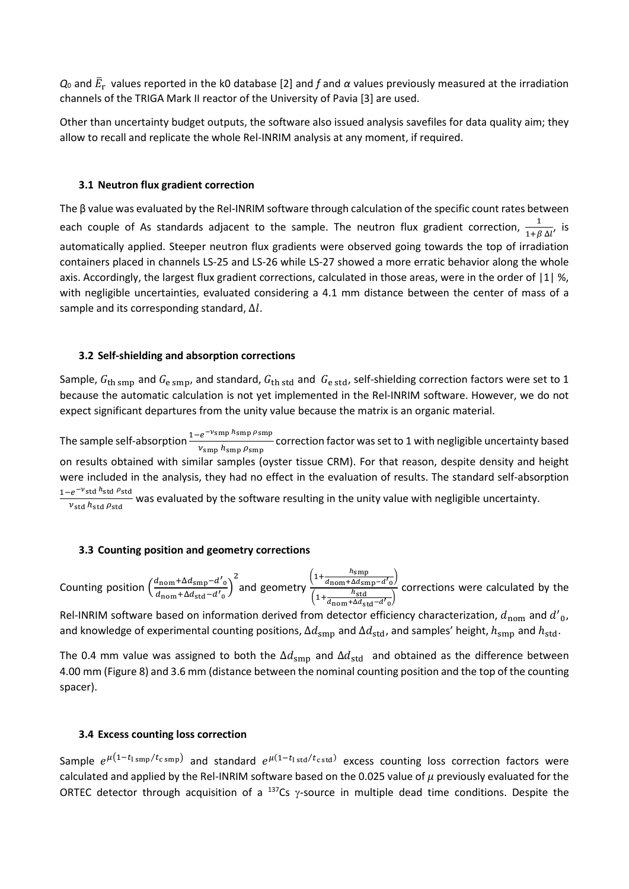$Q_0$  and  $\bar{E}_r$  values reported in the k0 database [2] and *f* and *α* values previously measured at the irradiation channels of the TRIGA Mark II reactor of the University of Pavia [3] are used.

Other than uncertainty budget outputs, the software also issued analysis savefiles for data quality aim; they allow to recall and replicate the whole Rel-INRIM analysis at any moment, if required.

#### **3.1 Neutron flux gradient correction**

The β value was evaluated by the Rel-INRIM software through calculation of the specific count rates between each couple of As standards adjacent to the sample. The neutron flux gradient correction,  $\frac{1}{1+\beta \Delta l'}$  is automatically applied. Steeper neutron flux gradients were observed going towards the top of irradiation containers placed in channels LS-25 and LS-26 while LS-27 showed a more erratic behavior along the whole axis. Accordingly, the largest flux gradient corrections, calculated in those areas, were in the order of |1| %, with negligible uncertainties, evaluated considering a 4.1 mm distance between the center of mass of a sample and its corresponding standard,  $\Delta l$ .

#### **3.2 Self-shielding and absorption corrections**

Sample,  $G_{th\,smp}$  and  $G_{e\,smp}$ , and standard,  $G_{th\,std}$  and  $G_{e\,std}$ , self-shielding correction factors were set to 1 because the automatic calculation is not yet implemented in the Rel-INRIM software. However, we do not expect significant departures from the unity value because the matrix is an organic material.

The sample self-absorption  $\frac{1-e^{-\nu_{\rm smp} h_{\rm smp} \rho_{\rm smp}}}{\nu_{\rm smp} h_{\rm smp} \rho_{\rm smp}}$  correction factor was set to 1 with negligible uncertainty based on results obtained with similar samples (oyster tissue CRM). For that reason, despite density and height were included in the analysis, they had no effect in the evaluation of results. The standard self-absorption 1−e<sup>−v</sup>std <sup>h</sup>std <sup>p</sup>std  $\frac{e^{-\frac{1}{2}x} \sin \frac{1}{2}x}{\cos \theta}$  was evaluated by the software resulting in the unity value with negligible uncertainty.

**3.3 Counting position and geometry corrections**

Counting position  $\left(\frac{d_{\text{nom}} + \Delta d_{\text{amp}} - d'}{d_{\text{nom}} + \Delta d_{\text{std}} - d'}\right)$  $\frac{d_{\text{nom}} + \Delta d_{\text{std}} - d'}{d_{\text{nom}} + \Delta d_{\text{std}} - d'}$ 2<br>and geometry  $\frac{\left(1+\frac{h_{\text{Smp}}}{d_{\text{nom}}+\Delta d_{\text{Smp}}-d_{0}'}\right)}{h_{\text{odd}}}}$  $\left(1+\frac{h_{\text{std}}}{d_{\text{nom}}+\Delta d_{\text{std}}-d_{\text{o}}}\right)$ corrections were calculated by the

Rel-INRIM software based on information derived from detector efficiency characterization,  $d_{\text{nom}}$  and  $d'_{0}$ , and knowledge of experimental counting positions,  $\Delta d_{smp}$  and  $\Delta d_{std}$ , and samples' height,  $h_{smp}$  and  $h_{std}$ .

The 0.4 mm value was assigned to both the  $\Delta d_{\rm smp}$  and  $\Delta d_{\rm std}$  and obtained as the difference between 4.00 mm (Figure 8) and 3.6 mm (distance between the nominal counting position and the top of the counting spacer).

#### **3.4 Excess counting loss correction**

Sample  $e^{\mu(1-t_l \text{ smp}/t_c \text{ smp})}$  and standard  $e^{\mu(1-t_l \text{ std}/t_c \text{ std})}$  excess counting loss correction factors were calculated and applied by the Rel-INRIM software based on the 0.025 value of  $\mu$  previously evaluated for the ORTEC detector through acquisition of a  $^{137}$ Cs  $\gamma$ -source in multiple dead time conditions. Despite the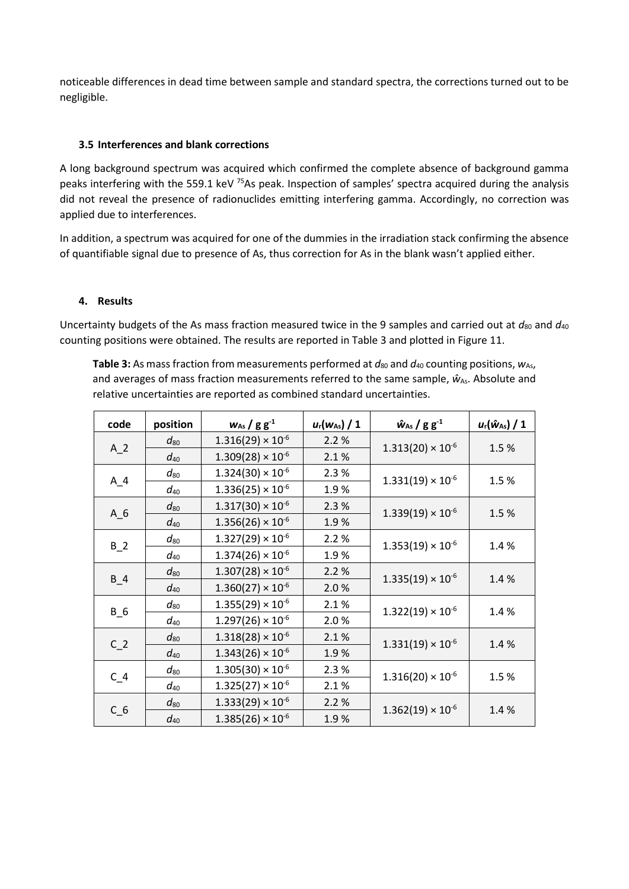noticeable differences in dead time between sample and standard spectra, the corrections turned out to be negligible.

## **3.5 Interferences and blank corrections**

A long background spectrum was acquired which confirmed the complete absence of background gamma peaks interfering with the 559.1 keV <sup>75</sup>As peak. Inspection of samples' spectra acquired during the analysis did not reveal the presence of radionuclides emitting interfering gamma. Accordingly, no correction was applied due to interferences.

In addition, a spectrum was acquired for one of the dummies in the irradiation stack confirming the absence of quantifiable signal due to presence of As, thus correction for As in the blank wasn't applied either.

#### **4. Results**

Uncertainty budgets of the As mass fraction measured twice in the 9 samples and carried out at  $d_{80}$  and  $d_{40}$ counting positions were obtained. The results are reported in Table 3 and plotted in Figure 11.

**Table 3:** As mass fraction from measurements performed at  $d_{80}$  and  $d_{40}$  counting positions,  $w_{As}$ , and averages of mass fraction measurements referred to the same sample,  $\hat{w}_{As}$ . Absolute and relative uncertainties are reported as combined standard uncertainties.

| code  | position | $W_{As}/g g^{-1}$          | $u_r(w_{As})/1$ | $\hat{w}_{As}$ / $g g^{-1}$ | $u_{\rm r}(\hat{w}_{\rm As})/1$ |
|-------|----------|----------------------------|-----------------|-----------------------------|---------------------------------|
|       | $d_{80}$ | $1.316(29) \times 10^{-6}$ | 2.2 %           | $1.313(20) \times 10^{-6}$  | 1.5 %                           |
| $A_2$ | $d_{40}$ | $1.309(28) \times 10^{-6}$ | 2.1%            |                             |                                 |
|       | $d_{80}$ | $1.324(30) \times 10^{-6}$ | 2.3 %           |                             | 1.5%                            |
| $A_4$ | $d_{40}$ | $1.336(25) \times 10^{-6}$ | 1.9%            | $1.331(19) \times 10^{-6}$  |                                 |
|       | $d_{80}$ | $1.317(30) \times 10^{-6}$ | 2.3 %           |                             | 1.5%                            |
| $A_6$ | $d_{40}$ | $1.356(26) \times 10^{-6}$ | 1.9%            | $1.339(19) \times 10^{-6}$  |                                 |
|       | $d_{80}$ | $1.327(29) \times 10^{-6}$ | 2.2 %           | $1.353(19) \times 10^{-6}$  | 1.4%                            |
| $B_2$ | $d_{40}$ | $1.374(26) \times 10^{-6}$ | 1.9%            |                             |                                 |
| $B_4$ | $d_{80}$ | $1.307(28) \times 10^{-6}$ | 2.2%            | $1.335(19) \times 10^{-6}$  | 1.4%                            |
|       | $d_{40}$ | $1.360(27) \times 10^{-6}$ | 2.0%            |                             |                                 |
| $B_6$ | $d_{80}$ | $1.355(29) \times 10^{-6}$ | 2.1%            | $1.322(19) \times 10^{-6}$  | 1.4%                            |
|       | $d_{40}$ | $1.297(26) \times 10^{-6}$ | 2.0%            |                             |                                 |
| $C_2$ | $d_{80}$ | $1.318(28) \times 10^{-6}$ | 2.1%            | $1.331(19) \times 10^{-6}$  | 1.4%                            |
|       | $d_{40}$ | $1.343(26) \times 10^{-6}$ | 1.9%            |                             |                                 |
| $C_4$ | $d_{80}$ | $1.305(30) \times 10^{-6}$ | 2.3 %           | $1.316(20) \times 10^{-6}$  | 1.5%                            |
|       | $d_{40}$ | $1.325(27) \times 10^{-6}$ | 2.1%            |                             |                                 |
| $C_6$ | $d_{80}$ | $1.333(29) \times 10^{-6}$ | 2.2 %           |                             | 1.4%                            |
|       | $d_{40}$ | $1.385(26) \times 10^{-6}$ | 1.9%            | $1.362(19) \times 10^{-6}$  |                                 |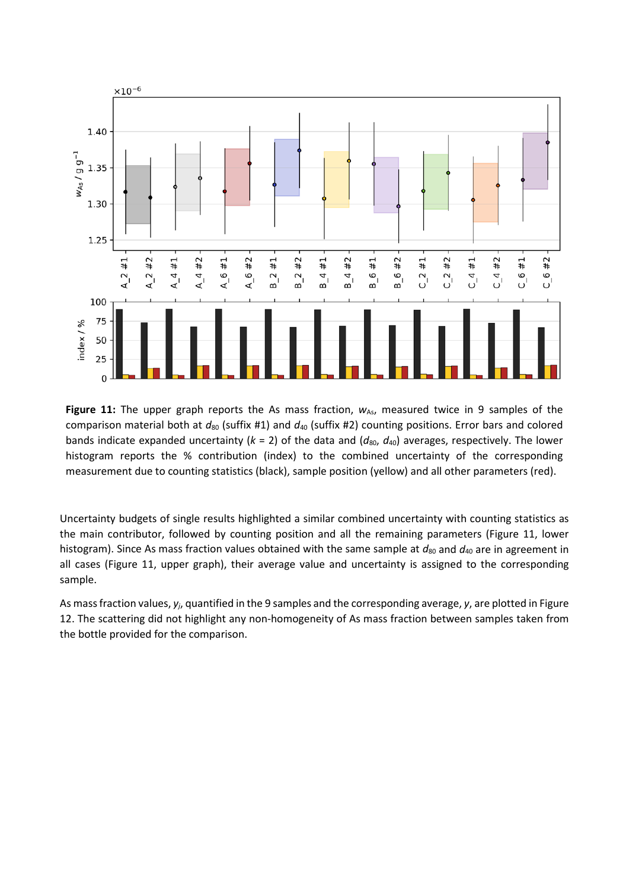

Figure 11: The upper graph reports the As mass fraction,  $w_{As}$ , measured twice in 9 samples of the comparison material both at  $d_{80}$  (suffix #1) and  $d_{40}$  (suffix #2) counting positions. Error bars and colored bands indicate expanded uncertainty ( $k = 2$ ) of the data and ( $d_{80}$ ,  $d_{40}$ ) averages, respectively. The lower histogram reports the % contribution (index) to the combined uncertainty of the corresponding measurement due to counting statistics (black), sample position (yellow) and all other parameters (red).

Uncertainty budgets of single results highlighted a similar combined uncertainty with counting statistics as the main contributor, followed by counting position and all the remaining parameters (Figure 11, lower histogram). Since As mass fraction values obtained with the same sample at  $d_{80}$  and  $d_{40}$  are in agreement in all cases (Figure 11, upper graph), their average value and uncertainty is assigned to the corresponding sample.

As mass fraction values, *yj*, quantified in the 9 samples and the corresponding average, *y*, are plotted in Figure 12. The scattering did not highlight any non-homogeneity of As mass fraction between samples taken from the bottle provided for the comparison.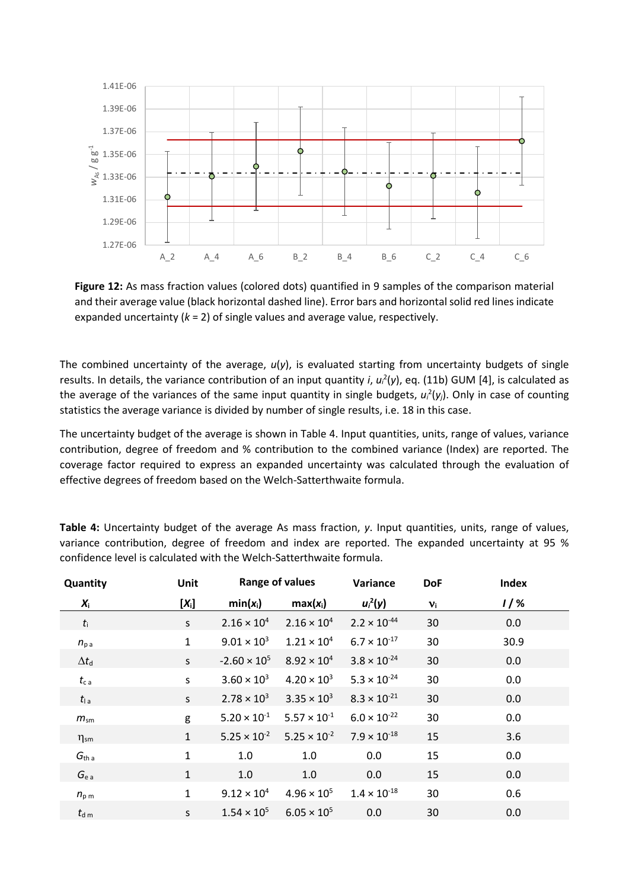

**Figure 12:** As mass fraction values (colored dots) quantified in 9 samples of the comparison material and their average value (black horizontal dashed line). Error bars and horizontal solid red lines indicate expanded uncertainty (*k* = 2) of single values and average value, respectively.

The combined uncertainty of the average,  $u(y)$ , is evaluated starting from uncertainty budgets of single results. In details, the variance contribution of an input quantity *i*, *ui* 2 (*y*), eq. (11b) GUM [4], is calculated as the average of the variances of the same input quantity in single budgets, *ui* 2 (*yj*). Only in case of counting statistics the average variance is divided by number of single results, i.e. 18 in this case.

The uncertainty budget of the average is shown in Table 4. Input quantities, units, range of values, variance contribution, degree of freedom and % contribution to the combined variance (Index) are reported. The coverage factor required to express an expanded uncertainty was calculated through the evaluation of effective degrees of freedom based on the Welch-Satterthwaite formula.

| Quantity                 | Unit         |                       | Range of values       | Variance              | <b>DoF</b> | <b>Index</b> |
|--------------------------|--------------|-----------------------|-----------------------|-----------------------|------------|--------------|
| $X_i$                    | $[X_i]$      | $min(x_i)$            | $max(x_i)$            | $u_i^2(y)$            | $v_i$      | $1/$ %       |
| $t_{\rm i}$              | $\mathsf{S}$ | $2.16 \times 10^{4}$  | $2.16 \times 10^{4}$  | $2.2 \times 10^{-44}$ | 30         | 0.0          |
| $n_{\rm p}$ <sub>a</sub> | $\mathbf{1}$ | $9.01 \times 10^{3}$  | $1.21 \times 10^{4}$  | $6.7 \times 10^{-17}$ | 30         | 30.9         |
| $\Delta t_{\rm d}$       | $\mathsf{S}$ | $-2.60 \times 10^5$   | $8.92 \times 10^{4}$  | $3.8 \times 10^{-24}$ | 30         | 0.0          |
| $t_{c,a}$                | S            | $3.60 \times 10^{3}$  | $4.20 \times 10^{3}$  | $5.3 \times 10^{-24}$ | 30         | 0.0          |
| $t_{\rm Ia}$             | S            | $2.78 \times 10^{3}$  | $3.35 \times 10^{3}$  | $8.3 \times 10^{-21}$ | 30         | 0.0          |
| $m_{\rm sm}$             | g            | $5.20 \times 10^{-1}$ | $5.57 \times 10^{-1}$ | $6.0 \times 10^{-22}$ | 30         | 0.0          |
| $\eta_{\mathsf{sm}}$     | $\mathbf{1}$ | $5.25 \times 10^{-2}$ | $5.25 \times 10^{-2}$ | $7.9 \times 10^{-18}$ | 15         | 3.6          |
| $G_{\text{th a}}$        | $\mathbf{1}$ | 1.0                   | 1.0                   | 0.0                   | 15         | 0.0          |
| $G_{e\,a}$               | $\mathbf{1}$ | 1.0                   | 1.0                   | 0.0                   | 15         | 0.0          |
| $n_{\rm pm}$             | $\mathbf{1}$ | $9.12 \times 10^{4}$  | $4.96 \times 10^{5}$  | $1.4 \times 10^{-18}$ | 30         | 0.6          |
| $t_{\text{d m}}$         | S            | $1.54 \times 10^{5}$  | $6.05 \times 10^{5}$  | 0.0                   | 30         | 0.0          |

**Table 4:** Uncertainty budget of the average As mass fraction, *y*. Input quantities, units, range of values, variance contribution, degree of freedom and index are reported. The expanded uncertainty at 95 % confidence level is calculated with the Welch-Satterthwaite formula.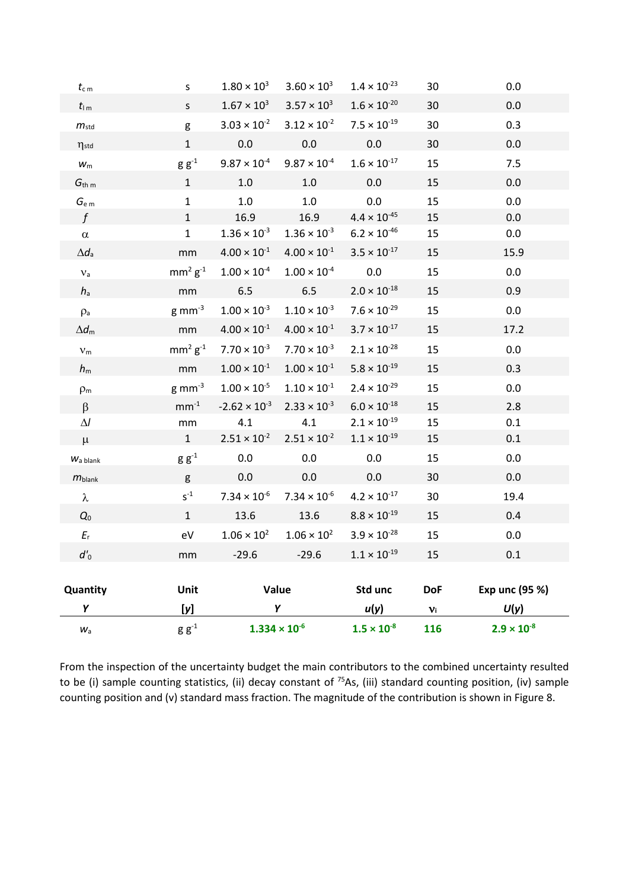| $t_{\textsf{c}}$ m     | S                                    | $1.80 \times 10^{3}$   | $3.60 \times 10^{3}$                        | $1.4 \times 10^{-23}$      | 30             | 0.0                  |
|------------------------|--------------------------------------|------------------------|---------------------------------------------|----------------------------|----------------|----------------------|
| $t_{\rm lm}$           | S.                                   | $1.67 \times 10^{3}$   | $3.57 \times 10^{3}$                        | $1.6 \times 10^{-20}$      | 30             | 0.0                  |
| $m_{\rm std}$          | g                                    | $3.03 \times 10^{-2}$  | $3.12 \times 10^{-2}$                       | $7.5 \times 10^{-19}$      | 30             | 0.3                  |
| $\eta_{\text{std}}$    | $\mathbf{1}$                         | 0.0                    | 0.0                                         | 0.0                        | 30             | 0.0                  |
| $\textit{w}_\text{m}$  | $\mathsf{g}\ \mathsf{g}^{\text{-1}}$ | $9.87 \times 10^{-4}$  | $9.87 \times 10^{-4}$                       | $1.6 \times 10^{-17}$      | 15             | 7.5                  |
| G <sub>th m</sub>      | $\mathbf{1}$                         | $1.0\,$                | $1.0\,$                                     | 0.0                        | 15             | 0.0                  |
| $G_{\rm e\;m}$         | $\mathbf{1}$                         | 1.0                    | 1.0                                         | 0.0                        | 15             | 0.0                  |
| $\boldsymbol{f}$       | $\mathbf{1}$                         | 16.9                   | 16.9                                        | $4.4 \times 10^{-45}$      | 15             | 0.0                  |
| $\alpha$               | $\mathbf{1}$                         | $1.36 \times 10^{-3}$  | $1.36 \times 10^{-3}$                       | $6.2 \times 10^{-46}$      | 15             | 0.0                  |
| $\Delta d_{\rm a}$     | mm                                   | $4.00 \times 10^{-1}$  | $4.00 \times 10^{-1}$                       | $3.5 \times 10^{-17}$      | 15             | 15.9                 |
| $\mathbf{V}\mathbf{a}$ | $mm2 g-1$                            | $1.00 \times 10^{-4}$  | $1.00 \times 10^{-4}$                       | 0.0                        | 15             | 0.0                  |
| $h_{\rm a}$            | mm                                   | 6.5                    | 6.5                                         | $2.0 \times 10^{-18}$      | 15             | 0.9                  |
| $\rho$ <sub>a</sub>    | $g \text{ mm}^{-3}$                  | $1.00 \times 10^{-3}$  | $1.10 \times 10^{-3}$                       | $7.6 \times 10^{-29}$      | 15             | 0.0                  |
| $\Delta d_{\rm m}$     | mm                                   | $4.00 \times 10^{-1}$  | $4.00 \times 10^{-1}$                       | $3.7 \times 10^{-17}$      | 15             | 17.2                 |
| ${\rm\bf V}_{m}$       | $mm^2$ g <sup>-1</sup>               | $7.70 \times 10^{-3}$  | $7.70 \times 10^{-3}$                       | $2.1 \times 10^{-28}$      | 15             | 0.0                  |
| $h_{\rm m}$            | mm                                   | $1.00 \times 10^{-1}$  | $1.00 \times 10^{-1}$                       | $5.8 \times 10^{-19}$      | 15             | 0.3                  |
| $\rho_m$               | $g$ mm <sup>-3</sup>                 | $1.00 \times 10^{-5}$  | $1.10 \times 10^{-1}$                       | $2.4 \times 10^{-29}$      | 15             | 0.0                  |
| $\beta$                | $mm-1$                               | $-2.62 \times 10^{-3}$ | $2.33 \times 10^{-3}$                       | $6.0 \times 10^{-18}$      | 15             | 2.8                  |
| $\Delta l$             | mm                                   | 4.1                    | 4.1                                         | $2.1 \times 10^{-19}$      | 15             | 0.1                  |
| $\mu$                  | $\mathbf{1}$                         | $2.51 \times 10^{-2}$  | $2.51 \times 10^{-2}$                       | $1.1 \times 10^{-19}$      | 15             | 0.1                  |
| $W_a$ blank            | $g g^{-1}$                           | 0.0                    | 0.0                                         | 0.0                        | 15             | 0.0                  |
| $m_{\text{blank}}$     | g                                    | 0.0                    | 0.0                                         | 0.0                        | 30             | 0.0                  |
| λ                      | $S^{-1}$                             |                        | $7.34 \times 10^{-6}$ $7.34 \times 10^{-6}$ | $4.2 \times 10^{-17}$      | 30             | 19.4                 |
| $Q_0$                  | $\mathbf{1}$                         | 13.6                   | 13.6                                        | $8.8\times10^{\text{-}19}$ | 15             | 0.4                  |
| $E_{\rm r}$            | eV                                   | $1.06 \times 10^{2}$   | $1.06 \times 10^{2}$                        | $3.9 \times 10^{-28}$      | 15             | 0.0                  |
| $d'_0$                 | mm                                   | $-29.6$                | $-29.6$                                     | $1.1 \times 10^{-19}$      | 15             | 0.1                  |
| Quantity               | Unit                                 | Value                  |                                             | Std unc                    | <b>DoF</b>     | Exp unc (95 %)       |
| Υ                      | [y]                                  |                        | Υ                                           | u(y)                       | $\mathbf{V}_i$ | U(y)                 |
| $W_{\rm a}$            | $g g^{-1}$                           | $1.334 \times 10^{-6}$ |                                             | $1.5 \times 10^{-8}$       | 116            | $2.9 \times 10^{-8}$ |

From the inspection of the uncertainty budget the main contributors to the combined uncertainty resulted to be (i) sample counting statistics, (ii) decay constant of <sup>75</sup>As, (iii) standard counting position, (iv) sample counting position and (v) standard mass fraction. The magnitude of the contribution is shown in Figure 8.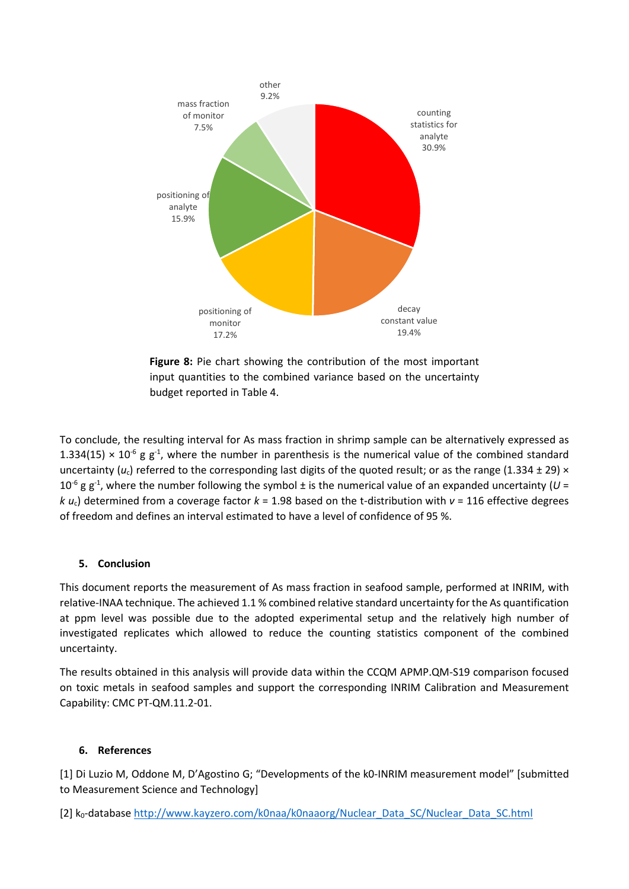

**Figure 8:** Pie chart showing the contribution of the most important input quantities to the combined variance based on the uncertainty budget reported in Table 4.

To conclude, the resulting interval for As mass fraction in shrimp sample can be alternatively expressed as 1.334(15)  $\times$  10<sup>-6</sup> g g<sup>-1</sup>, where the number in parenthesis is the numerical value of the combined standard uncertainty ( $u_c$ ) referred to the corresponding last digits of the quoted result; or as the range (1.334  $\pm$  29)  $\times$  $10^{-6}$  g g<sup>-1</sup>, where the number following the symbol ± is the numerical value of an expanded uncertainty ( $U =$ *k u*c) determined from a coverage factor *k* = 1.98 based on the t-distribution with *ν* = 116 effective degrees of freedom and defines an interval estimated to have a level of confidence of 95 %.

## **5. Conclusion**

This document reports the measurement of As mass fraction in seafood sample, performed at INRIM, with relative-INAA technique. The achieved 1.1 % combined relative standard uncertainty for the As quantification at ppm level was possible due to the adopted experimental setup and the relatively high number of investigated replicates which allowed to reduce the counting statistics component of the combined uncertainty.

The results obtained in this analysis will provide data within the CCQM APMP.QM-S19 comparison focused on toxic metals in seafood samples and support the corresponding INRIM Calibration and Measurement Capability: CMC PT-QM.11.2-01.

#### **6. References**

[1] Di Luzio M, Oddone M, D'Agostino G; "Developments of the k0-INRIM measurement model" [submitted to Measurement Science and Technology]

[2] k<sub>0</sub>-database [http://www.kayzero.com/k0naa/k0naaorg/Nuclear\\_Data\\_SC/Nuclear\\_Data\\_SC.html](http://www.kayzero.com/k0naa/k0naaorg/Nuclear_Data_SC/Nuclear_Data_SC.html)